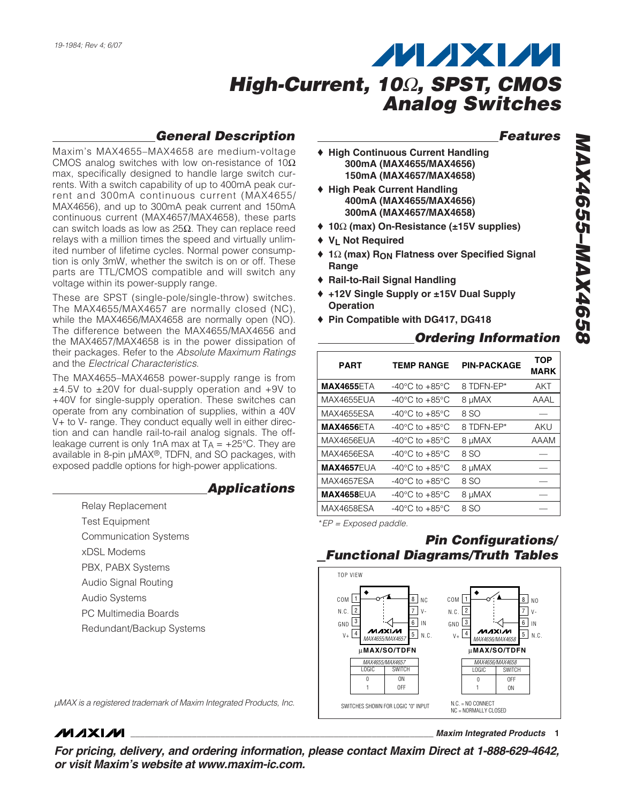### *General Description*

Maxim's MAX4655–MAX4658 are medium-voltage CMOS analog switches with low on-resistance of 10 $\Omega$ max, specifically designed to handle large switch currents. With a switch capability of up to 400mA peak current and 300mA continuous current (MAX4655/ MAX4656), and up to 300mA peak current and 150mA continuous current (MAX4657/MAX4658), these parts can switch loads as low as 25Ω. They can replace reed relays with a million times the speed and virtually unlimited number of lifetime cycles. Normal power consumption is only 3mW, whether the switch is on or off. These parts are TTL/CMOS compatible and will switch any voltage within its power-supply range.

These are SPST (single-pole/single-throw) switches. The MAX4655/MAX4657 are normally closed (NC), while the MAX4656/MAX4658 are normally open (NO). The difference between the MAX4655/MAX4656 and the MAX4657/MAX4658 is in the power dissipation of their packages. Refer to the *Absolute Maximum Ratings* and the *Electrical Characteristics*.

The MAX4655–MAX4658 power-supply range is from ±4.5V to ±20V for dual-supply operation and +9V to +40V for single-supply operation. These switches can operate from any combination of supplies, within a 40V V+ to V- range. They conduct equally well in either direction and can handle rail-to-rail analog signals. The offleakage current is only 1nA max at  $T_A = +25^{\circ}C$ . They are available in 8-pin µMAX®, TDFN, and SO packages, with exposed paddle options for high-power applications.

#### *Applications*

- Relay Replacement
- Test Equipment
- Communication Systems
- xDSL Modems
- PBX, PABX Systems
- Audio Signal Routing
- Audio Systems
- PC Multimedia Boards

**MAXIM** 

- 
- Redundant/Backup Systems

#### *µMAX is a registered trademark of Maxim Integrated Products, Inc.*

*For pricing, delivery, and ordering information, please contact Maxim Direct at 1-888-629-4642, or visit Maxim's website at www.maxim-ic.com.*

#### *Features*

- ♦ **High Continuous Current Handling 300mA (MAX4655/MAX4656) 150mA (MAX4657/MAX4658)**
- ♦ **High Peak Current Handling 400mA (MAX4655/MAX4656) 300mA (MAX4657/MAX4658)**
- ♦ **10**Ω **(max) On-Resistance (±15V supplies)**
- ♦ **VL Not Required**
- ♦ **1**Ω **(max) RON Flatness over Specified Signal Range**
- ♦ **Rail-to-Rail Signal Handling**
- ♦ **+12V Single Supply or ±15V Dual Supply Operation**
- ♦ **Pin Compatible with DG417, DG418**

### *Ordering Information*

| <b>PART</b>       | <b>TEMP RANGE</b>                    | <b>PIN-PACKAGE</b> | <b>TOP</b><br><b>MARK</b> |
|-------------------|--------------------------------------|--------------------|---------------------------|
| <b>MAX4655ETA</b> | -40 $^{\circ}$ C to +85 $^{\circ}$ C | 8 TDFN-EP*         | AKT                       |
| MAX4655EUA        | $-40^{\circ}$ C to $+85^{\circ}$ C   | 8 µMAX             | AAAL                      |
| MAX4655ESA        | -40 $^{\circ}$ C to +85 $^{\circ}$ C | 8 SO               |                           |
| <b>MAX4656ETA</b> | -40 $^{\circ}$ C to +85 $^{\circ}$ C | 8 TDFN-EP*         | aku                       |
| MAX4656EUA        | -40 $^{\circ}$ C to +85 $^{\circ}$ C | 8 µMAX             | AAAM                      |
| MAX4656ESA        | $-40^{\circ}$ C to $+85^{\circ}$ C   | 8 SO               |                           |
| <b>MAX4657EUA</b> | $-40^{\circ}$ C to $+85^{\circ}$ C   | 8 µMAX             |                           |
| <b>MAX4657ESA</b> | $-40^{\circ}$ C to $+85^{\circ}$ C   | 8 SO               |                           |
| <b>MAX4658EUA</b> | $-40^{\circ}$ C to $+85^{\circ}$ C   | 8 µMAX             |                           |
| MAX4658ESA        | $-40^{\circ}$ C to $+85^{\circ}$ C   | 8 SO               |                           |

\**EP = Exposed paddle.*

### *Pin Configurations/ Functional Diagrams/Truth Tables*



**\_\_\_\_\_\_\_\_\_\_\_\_\_\_\_\_\_\_\_\_\_\_\_\_\_\_\_\_\_\_\_\_\_\_\_\_\_\_\_\_\_\_\_\_\_\_\_\_\_\_\_\_\_\_\_\_\_\_\_\_\_\_\_\_** *Maxim Integrated Products* **1**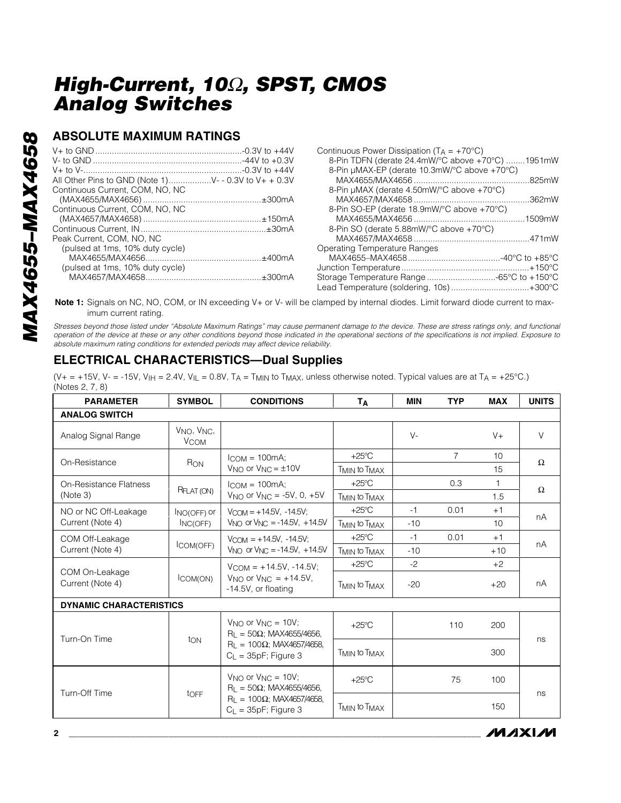#### **ABSOLUTE MAXIMUM RATINGS**

| All Other Pins to GND (Note 1)V- - 0.3V to V+ + 0.3V |  |
|------------------------------------------------------|--|
| Continuous Current, COM, NO, NC                      |  |
|                                                      |  |
| Continuous Current. COM. NO. NC                      |  |
|                                                      |  |
|                                                      |  |
| Peak Current, COM, NO, NC                            |  |
| (pulsed at 1ms, 10% duty cycle)                      |  |
|                                                      |  |
| (pulsed at 1ms, 10% duty cycle)                      |  |
|                                                      |  |
|                                                      |  |

| Continuous Fower Dissipation (i.g. = $+70$ C)    |  |
|--------------------------------------------------|--|
| 8-Pin TDFN (derate 24.4mW/°C above +70°C) 1951mW |  |
| 8-Pin µMAX-EP (derate 10.3mW/°C above +70°C)     |  |
|                                                  |  |
| 8-Pin µMAX (derate 4.50mW/°C above +70°C)        |  |
|                                                  |  |
| 8-Pin SO-EP (derate 18.9mW/°C above +70°C)       |  |
|                                                  |  |
| 8-Pin SO (derate 5.88mW/°C above +70°C)          |  |
|                                                  |  |
| Operating Temperature Ranges                     |  |
|                                                  |  |
|                                                  |  |
|                                                  |  |
| Lead Temperature (soldering, 10s)+300°C          |  |
|                                                  |  |

 $Confinuouo Power Direction (T. +700C)$ 

**Note 1:** Signals on NC, NO, COM, or IN exceeding V+ or V- will be clamped by internal diodes. Limit forward diode current to maximum current rating.

*Stresses beyond those listed under "Absolute Maximum Ratings" may cause permanent damage to the device. These are stress ratings only, and functional operation of the device at these or any other conditions beyond those indicated in the operational sections of the specifications is not implied. Exposure to absolute maximum rating conditions for extended periods may affect device reliability.*

### **ELECTRICAL CHARACTERISTICS—Dual Supplies**

(V+ = +15V, V- = -15V, V<sub>IH</sub> = 2.4V, V<sub>IL</sub> = 0.8V, T<sub>A</sub> = T<sub>MIN</sub> to T<sub>MAX</sub>, unless otherwise noted. Typical values are at T<sub>A</sub> = +25°C.) (Notes 2, 7, 8)

| <b>PARAMETER</b>                   | <b>SYMBOL</b>                                      | <b>CONDITIONS</b>                                                                                                                 | TΑ                                   | <b>MIN</b> | <b>TYP</b>     | <b>MAX</b>   | <b>UNITS</b> |
|------------------------------------|----------------------------------------------------|-----------------------------------------------------------------------------------------------------------------------------------|--------------------------------------|------------|----------------|--------------|--------------|
| <b>ANALOG SWITCH</b>               |                                                    |                                                                                                                                   |                                      |            |                |              |              |
| Analog Signal Range                | V <sub>NO</sub> , V <sub>NC</sub> ,<br><b>VCOM</b> |                                                                                                                                   |                                      | $V -$      |                | $V +$        | V            |
| On-Resistance                      |                                                    | $l_{COM} = 100mA;$                                                                                                                | $+25^{\circ}$ C                      |            | $\overline{7}$ | 10           | $\Omega$     |
|                                    | R <sub>ON</sub>                                    | $V_{NO}$ or $V_{NC} = \pm 10V$                                                                                                    | <b>TMIN to TMAX</b>                  |            |                | 15           |              |
| On-Resistance Flatness             | RFLAT (ON)                                         | $l_{COM} = 100mA$                                                                                                                 | $+25^{\circ}$ C                      |            | 0.3            | $\mathbf{1}$ | $\Omega$     |
| (Note 3)                           |                                                    | $V_{NO}$ or $V_{NC} = -5V$ , 0, $+5V$                                                                                             | T <sub>MIN</sub> to T <sub>MAX</sub> |            |                | 1.5          |              |
| NO or NC Off-Leakage               | INO(OFF) Or                                        | $V_{\text{COM}} = +14.5V, -14.5V;$                                                                                                | $+25^{\circ}$ C                      | $-1$       | 0.01           | $+1$         |              |
| Current (Note 4)                   | INC(OFF)                                           | $V_{\text{NO}}$ or $V_{\text{NC}} = -14.5V$ , +14.5V                                                                              | T <sub>MIN</sub> to T <sub>MAX</sub> | $-10$      |                | 10           | nA           |
| COM Off-Leakage                    |                                                    | $V_{COM} = +14.5V, -14.5V;$<br>$V_{NLO}$ or $V_{NIC} = -14.5V$ . $+14.5V$                                                         | $+25^{\circ}$ C                      | $-1$       | 0.01           | $+1$         | nA           |
| Current (Note 4)                   | COM(OFF)                                           |                                                                                                                                   | <b>TMIN to TMAX</b>                  | $-10$      |                | $+10$        |              |
|                                    | ICOM(ON)                                           | $V_{\text{COM}} = +14.5V, -14.5V;$<br>$V_{\text{NO}}$ or $V_{\text{NC}} = +14.5V$ .<br>-14.5V, or floating                        | $+25^{\circ}$ C                      | $-2$       |                | $+2$         |              |
| COM On-Leakage<br>Current (Note 4) |                                                    |                                                                                                                                   | <b>TMIN to TMAX</b>                  | $-20$      |                | $+20$        | nA           |
| <b>DYNAMIC CHARACTERISTICS</b>     |                                                    |                                                                                                                                   |                                      |            |                |              |              |
| Turn-On Time                       | ton                                                | $V_{NQ}$ or $V_{NQ} = 10V$ ;<br>$R_1 = 50\Omega$ ; MAX4655/4656.<br>$R_1 = 100\Omega$ ; MAX4657/4658,<br>$C_{L}$ = 35pF; Figure 3 | $+25^{\circ}$ C                      |            | 110            | 200          |              |
|                                    |                                                    |                                                                                                                                   | T <sub>MIN</sub> to T <sub>MAX</sub> |            |                | 300          | ns           |
| Turn-Off Time                      | toFF                                               | $V_{NQ}$ or $V_{NQ} = 10V$ ;<br>$R_1 = 50\Omega$ ; MAX4655/4656.<br>$R_1 = 100\Omega$ ; MAX4657/4658,<br>$C_1 = 35pF$ ; Figure 3  | $+25^{\circ}$ C                      |            | 75             | 100          | ns           |
|                                    |                                                    |                                                                                                                                   | T <sub>MIN</sub> to T <sub>MAX</sub> |            |                | 150          |              |

**MAXM**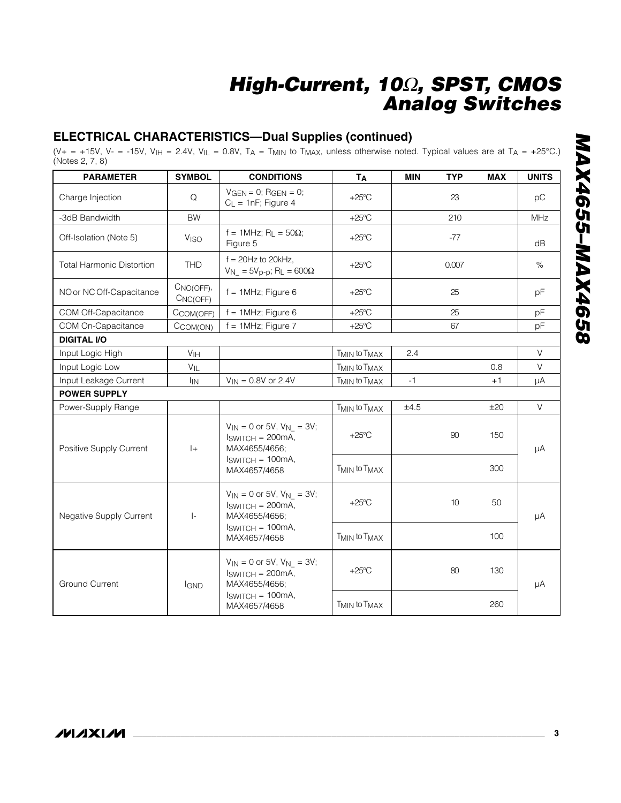### **ELECTRICAL CHARACTERISTICS—Dual Supplies (continued)**

(V+ = +15V, V- = -15V, V<sub>IH</sub> = 2.4V, V<sub>IL</sub> = 0.8V, T<sub>A</sub> = T<sub>MIN</sub> to T<sub>MAX</sub>, unless otherwise noted. Typical values are at T<sub>A</sub> = +25°C.) (Notes 2, 7, 8)

| <b>PARAMETER</b>                 | <b>SYMBOL</b>         | <b>CONDITIONS</b>                                                                                               | <b>TA</b>                            | <b>MIN</b> | <b>TYP</b>      | <b>MAX</b> | <b>UNITS</b> |
|----------------------------------|-----------------------|-----------------------------------------------------------------------------------------------------------------|--------------------------------------|------------|-----------------|------------|--------------|
| Charge Injection                 | Q                     | $VGEN = 0$ ; RGEN = 0;<br>$C_L = 1nF$ ; Figure 4                                                                | $+25^{\circ}$ C                      |            | 23              |            | рC           |
| -3dB Bandwidth                   | <b>BW</b>             |                                                                                                                 | $+25^{\circ}$ C                      |            | 210             |            | <b>MHz</b>   |
| Off-Isolation (Note 5)           | V <sub>ISO</sub>      | f = 1MHz; R <sub>I</sub> = $50\Omega$ ;<br>Figure 5                                                             | $+25^{\circ}$ C                      |            | $-77$           |            | dB           |
| <b>Total Harmonic Distortion</b> | <b>THD</b>            | $f = 20Hz$ to 20kHz,<br>$V_{N_{-}}$ = 5V <sub>p-p</sub> ; R <sub>L</sub> = 600Ω                                 | $+25^{\circ}$ C                      |            | 0.007           |            | $\%$         |
| NO or NC Off-Capacitance         | CNO(OFF),<br>CNC(OFF) | $f = 1$ MHz; Figure 6                                                                                           | $+25^{\circ}$ C                      |            | 25              |            | pF           |
| COM Off-Capacitance              | CCOM(OFF)             | $f = 1$ MHz; Figure 6                                                                                           | $+25^{\circ}$ C                      |            | 25              |            | pF           |
| COM On-Capacitance               | CCOM(ON)              | $f = 1$ MHz; Figure 7                                                                                           | $+25^{\circ}$ C                      |            | 67              |            | pF           |
| <b>DIGITAL I/O</b>               |                       |                                                                                                                 |                                      |            |                 |            |              |
| Input Logic High                 | V <sub>IH</sub>       |                                                                                                                 | T <sub>MIN</sub> to T <sub>MAX</sub> | 2.4        |                 |            | $\vee$       |
| Input Logic Low                  | VIL                   |                                                                                                                 | T <sub>MIN</sub> to T <sub>MAX</sub> |            |                 | 0.8        | $\vee$       |
| Input Leakage Current            | $I_{IN}$              | $V_{IN} = 0.8V$ or 2.4V                                                                                         | T <sub>MIN</sub> to T <sub>MAX</sub> | $-1$       |                 | $+1$       | μA           |
| <b>POWER SUPPLY</b>              |                       |                                                                                                                 |                                      |            |                 |            |              |
| Power-Supply Range               |                       |                                                                                                                 | T <sub>MIN</sub> to T <sub>MAX</sub> | ±4.5       |                 | ±20        | V            |
| Positive Supply Current          | $ +$                  | $V_{IN} = 0$ or 5V, $V_{N} = 3V$ ;<br>$ISWITCH = 200mA,$<br>MAX4655/4656;<br>$ISWITCH = 100mA,$<br>MAX4657/4658 | $+25^{\circ}$ C                      |            | 90              | 150        | μA           |
|                                  |                       |                                                                                                                 | T <sub>MIN</sub> to T <sub>MAX</sub> |            |                 | 300        |              |
| Negative Supply Current          | $\vert$ -             | $V_{IN} = 0$ or 5V, $V_{N} = 3V$ ;<br>$ISWITCH = 200mA,$<br>MAX4655/4656;                                       | $+25^{\circ}$ C                      |            | 10 <sup>°</sup> | 50         | μA           |
|                                  |                       | $ISWITCH = 100mA,$<br>MAX4657/4658                                                                              | T <sub>MIN</sub> to T <sub>MAX</sub> |            |                 | 100        |              |
| <b>Ground Current</b>            | <b>IGND</b>           | $V_{IN} = 0$ or 5V, $V_{N} = 3V$ ;<br>$ISWITCH = 200mA,$<br>MAX4655/4656;                                       | $+25^{\circ}$ C                      |            | 80              | 130        | μA           |
|                                  |                       | $ISWITCH = 100mA,$<br>MAX4657/4658                                                                              | T <sub>MIN</sub> to T <sub>MAX</sub> |            |                 | 260        |              |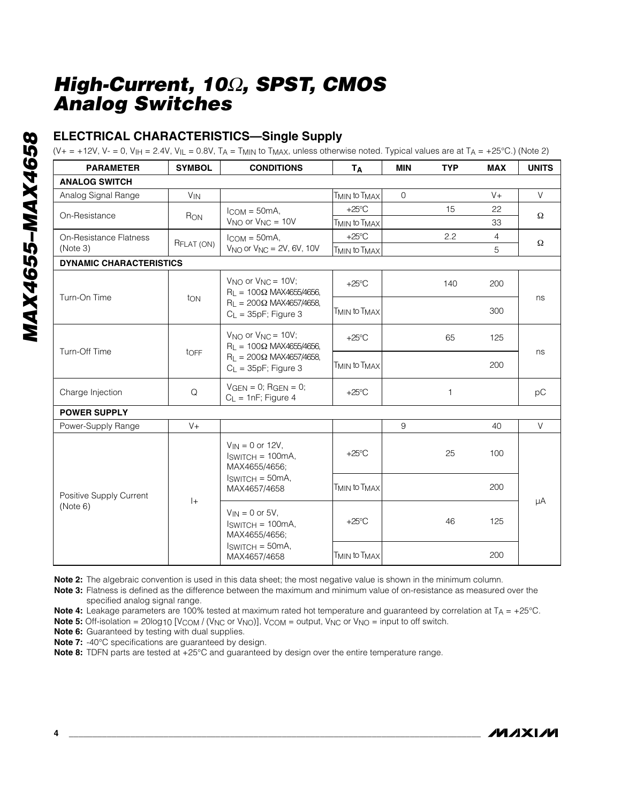### **ELECTRICAL CHARACTERISTICS—Single Supply**

(V+ = +12V, V- = 0, V<sub>IH</sub> = 2.4V, V<sub>IL</sub> = 0.8V, T<sub>A</sub> = T<sub>MIN</sub> to T<sub>MAX</sub>, unless otherwise noted. Typical values are at T<sub>A</sub> = +25°C.) (Note 2)

| <b>PARAMETER</b>                    | <b>SYMBOL</b>   | <b>CONDITIONS</b>                                                                                                             | Tд                                   | <b>MIN</b>   | <b>TYP</b>   | <b>MAX</b>     | <b>UNITS</b> |
|-------------------------------------|-----------------|-------------------------------------------------------------------------------------------------------------------------------|--------------------------------------|--------------|--------------|----------------|--------------|
| <b>ANALOG SWITCH</b>                |                 |                                                                                                                               |                                      |              |              |                |              |
| Analog Signal Range                 | V <sub>IN</sub> |                                                                                                                               | T <sub>MIN</sub> to T <sub>MAX</sub> | $\mathbf{O}$ |              | $V +$          | $\vee$       |
| On-Resistance                       |                 | $ICOM = 50mA,$                                                                                                                | $+25^{\circ}$ C                      |              | 15           | 22             | Ω            |
|                                     | R <sub>ON</sub> | $V_{NO}$ or $V_{NC} = 10V$                                                                                                    | T <sub>MIN</sub> to T <sub>MAX</sub> |              |              | 33             |              |
| On-Resistance Flatness              | RFLAT (ON)      | $I_{COM} = 50mA$ ,                                                                                                            | $+25^{\circ}$ C                      |              | 2.2          | $\overline{4}$ | $\Omega$     |
| (Note 3)                            |                 | $V_{NO}$ or $V_{NC}$ = 2V, 6V, 10V                                                                                            | <b>TMIN to TMAX</b>                  |              |              | 5              |              |
| <b>DYNAMIC CHARACTERISTICS</b>      |                 |                                                                                                                               |                                      |              |              |                |              |
| Turn-On Time                        |                 | $V_{NO}$ or $V_{NC} = 10V$ ;<br>$R_1 = 100\Omega$ MAX4655/4656,                                                               | $+25^{\circ}$ C                      |              | 140          | 200            | ns           |
|                                     | ton             | $R_1 = 200\Omega$ MAX4657/4658,<br>$C_L = 35pF$ ; Figure 3                                                                    | T <sub>MIN</sub> to T <sub>MAX</sub> |              |              | 300            |              |
| Turn-Off Time                       | tOFF            | $V_{NQ}$ or $V_{NC} = 10V$ ;<br>$R_1 = 100\Omega$ MAX4655/4656,<br>$R_1 = 200\Omega$ MAX4657/4658,<br>$C_L = 35pF$ ; Figure 3 | $+25^{\circ}$ C                      |              | 65           | 125            | ns           |
|                                     |                 |                                                                                                                               | <b>TMIN to TMAX</b>                  |              |              | 200            |              |
| Charge Injection                    | Q               | $VGEN = 0$ ; RGEN = 0;<br>$C_L = 1nF$ ; Figure 4                                                                              | $+25^{\circ}$ C                      |              | $\mathbf{1}$ |                | pC           |
| <b>POWER SUPPLY</b>                 |                 |                                                                                                                               |                                      |              |              |                |              |
| Power-Supply Range                  | $V +$           |                                                                                                                               |                                      | 9            |              | 40             | V            |
| Positive Supply Current<br>(Note 6) | $ +$            | $V_{IN} = 0$ or 12V.<br>$ISWITCH = 100mA,$<br>MAX4655/4656;<br>$ISWITCH = 50mA,$<br>MAX4657/4658                              | $+25^{\circ}$ C                      |              | 25           | 100            |              |
|                                     |                 |                                                                                                                               | T <sub>MIN</sub> to T <sub>MAX</sub> |              |              | 200            | μA           |
|                                     |                 | $V_{IN} = 0$ or 5V.<br>$ISWITCH = 100mA,$<br>MAX4655/4656;                                                                    | $+25^{\circ}$ C                      |              | 46           | 125            |              |
|                                     |                 | $ISWITCH = 50mA,$<br>MAX4657/4658                                                                                             | T <sub>MIN</sub> to T <sub>MAX</sub> |              |              | 200            |              |

**Note 2:** The algebraic convention is used in this data sheet; the most negative value is shown in the minimum column.

**Note 3:** Flatness is defined as the difference between the maximum and minimum value of on-resistance as measured over the specified analog signal range.

Note 4: Leakage parameters are 100% tested at maximum rated hot temperature and guaranteed by correlation at T<sub>A</sub> = +25°C.

**Note 5:** Off-isolation = 20log10 [V<sub>COM</sub> / (V<sub>NC</sub> or V<sub>NO</sub>)], V<sub>COM</sub> = output, V<sub>NC</sub> or V<sub>NO</sub> = input to off switch.

**Note 6:** Guaranteed by testing with dual supplies.

**Note 7:** -40°C specifications are guaranteed by design.

**Note 8:** TDFN parts are tested at +25°C and guaranteed by design over the entire temperature range.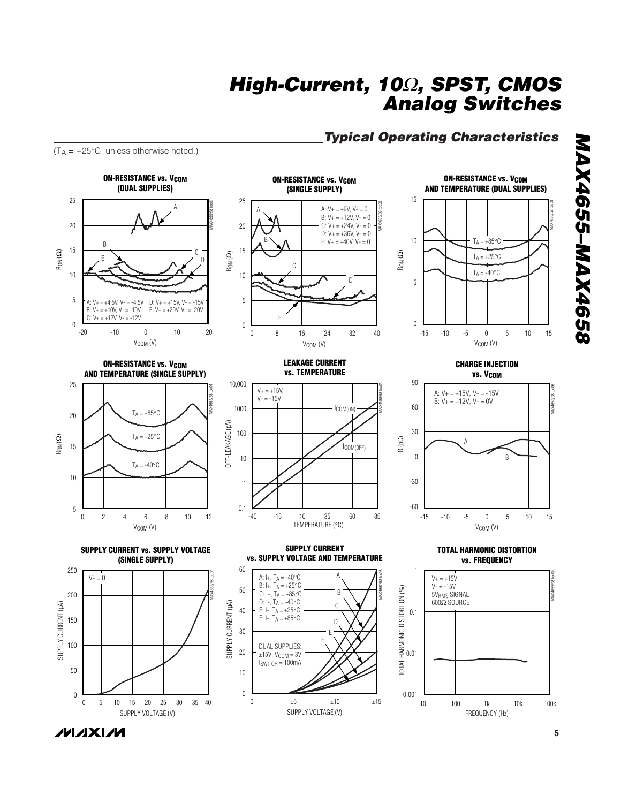#### *Typical Operating Characteristics*

 $(T_A = +25^{\circ}C,$  unless otherwise noted.)















**LEAKAGE CURRENT vs. TEMPERATURE**



**SUPPLY CURRENT vs. SUPPLY VOLTAGE AND TEMPERATURE**

SUPPLY VOLTAGE (V)

0  $\pm 5$   $\pm 10$   $\pm 15$ 

D E F

A B C

 $\boldsymbol{0}$ 

20 10

30

40

50

60

A:  $I_+, T_A = -40^{\circ}C$ B: I+,  $T_A = +25^{\circ}C$ C: I+,  $T_A = +85$ °C D: I-,  $T_A = -40^{\circ}C$ E: I-,  $T_A = +25$ °C F: I-,  $T_A = +85$ °C

DUAL SUPPLIES:  $±15V$ ,  $V_{COM} = 3V$ ,  $I<sub>SWITCH</sub> = 100mA$ 

MAX4657/58 toc08



**ON-RESISTANCE vs. V<sub>COM</sub>** 



**TOTAL HARMONIC DISTORTION vs. FREQUENCY**



MAX4655/58 toc03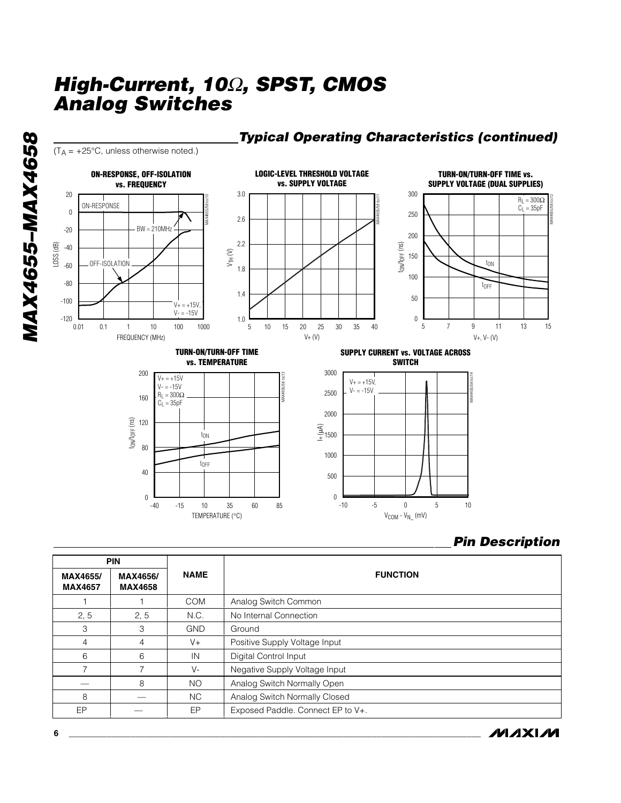TEMPERATURE (°C)



### *Typical Operating Characteristics (continued)*

 $V_{COM} - V_{N_{-}}$  (mV)

#### *Pin Description*

**MAXM** 

|                            | <b>PIN</b>                 |             |                                   |  |
|----------------------------|----------------------------|-------------|-----------------------------------|--|
| MAX4655/<br><b>MAX4657</b> | MAX4656/<br><b>MAX4658</b> | <b>NAME</b> | <b>FUNCTION</b>                   |  |
|                            |                            | <b>COM</b>  | Analog Switch Common              |  |
| 2, 5                       | 2, 5                       | N.C.        | No Internal Connection            |  |
| 3                          | 3                          | <b>GND</b>  | Ground                            |  |
| $\overline{4}$             | 4                          | $V +$       | Positive Supply Voltage Input     |  |
| 6                          | 6                          | IN          | Digital Control Input             |  |
| 7                          |                            | V-          | Negative Supply Voltage Input     |  |
|                            | 8                          | <b>NO</b>   | Analog Switch Normally Open       |  |
| 8                          |                            | NC.         | Analog Switch Normally Closed     |  |
| EP                         |                            | EP          | Exposed Paddle. Connect EP to V+. |  |

**MAX4655-MAX4658** *MAX4655–MAX4658*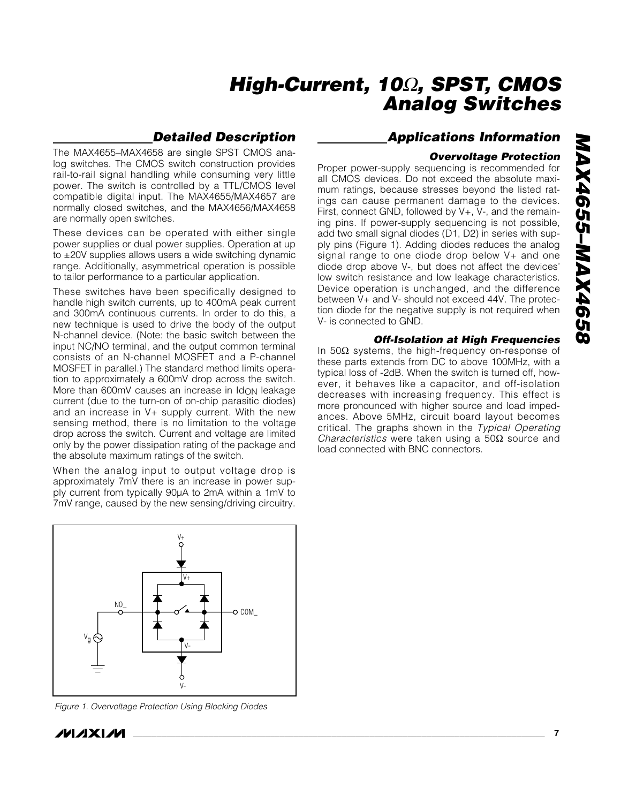### *Detailed Description*

The MAX4655–MAX4658 are single SPST CMOS analog switches. The CMOS switch construction provides rail-to-rail signal handling while consuming very little power. The switch is controlled by a TTL/CMOS level compatible digital input. The MAX4655/MAX4657 are normally closed switches, and the MAX4656/MAX4658 are normally open switches.

These devices can be operated with either single power supplies or dual power supplies. Operation at up to ±20V supplies allows users a wide switching dynamic range. Additionally, asymmetrical operation is possible to tailor performance to a particular application.

These switches have been specifically designed to handle high switch currents, up to 400mA peak current and 300mA continuous currents. In order to do this, a new technique is used to drive the body of the output N-channel device. (Note: the basic switch between the input NC/NO terminal, and the output common terminal consists of an N-channel MOSFET and a P-channel MOSFET in parallel.) The standard method limits operation to approximately a 600mV drop across the switch. More than 600mV causes an increase in Idon leakage current (due to the turn-on of on-chip parasitic diodes) and an increase in V+ supply current. With the new sensing method, there is no limitation to the voltage drop across the switch. Current and voltage are limited only by the power dissipation rating of the package and the absolute maximum ratings of the switch.

When the analog input to output voltage drop is approximately 7mV there is an increase in power supply current from typically 90µA to 2mA within a 1mV to 7mV range, caused by the new sensing/driving circuitry.



*Figure 1. Overvoltage Protection Using Blocking Diodes*

#### *Applications Information*

#### *Overvoltage Protection*

Proper power-supply sequencing is recommended for all CMOS devices. Do not exceed the absolute maximum ratings, because stresses beyond the listed ratings can cause permanent damage to the devices. First, connect GND, followed by V+, V-, and the remaining pins. If power-supply sequencing is not possible, add two small signal diodes (D1, D2) in series with supply pins (Figure 1). Adding diodes reduces the analog signal range to one diode drop below V+ and one diode drop above V-, but does not affect the devices' low switch resistance and low leakage characteristics. Device operation is unchanged, and the difference between V+ and V- should not exceed 44V. The protection diode for the negative supply is not required when V- is connected to GND.

#### *Off-Isolation at High Frequencies*

In 50 $\Omega$  systems, the high-frequency on-response of these parts extends from DC to above 100MHz, with a typical loss of -2dB. When the switch is turned off, however, it behaves like a capacitor, and off-isolation decreases with increasing frequency. This effect is more pronounced with higher source and load impedances. Above 5MHz, circuit board layout becomes critical. The graphs shown in the *Typical Operating Characteristics* were taken using a 50Ω source and load connected with BNC connectors.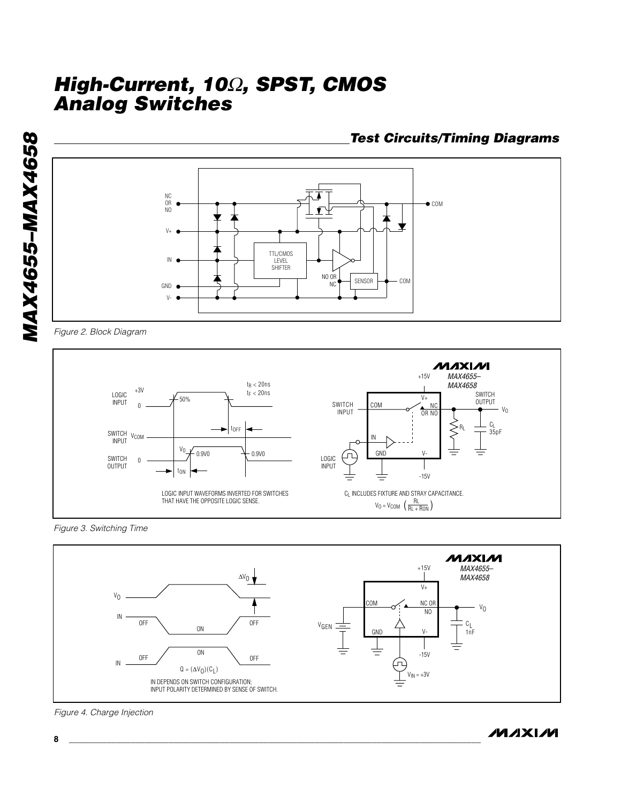**MAX4655-MAX4658** *MAX4655–MAX4658*



*Figure 2. Block Diagram*



*Figure 3. Switching Time*



*Figure 4. Charge Injection*

#### **MAXIM**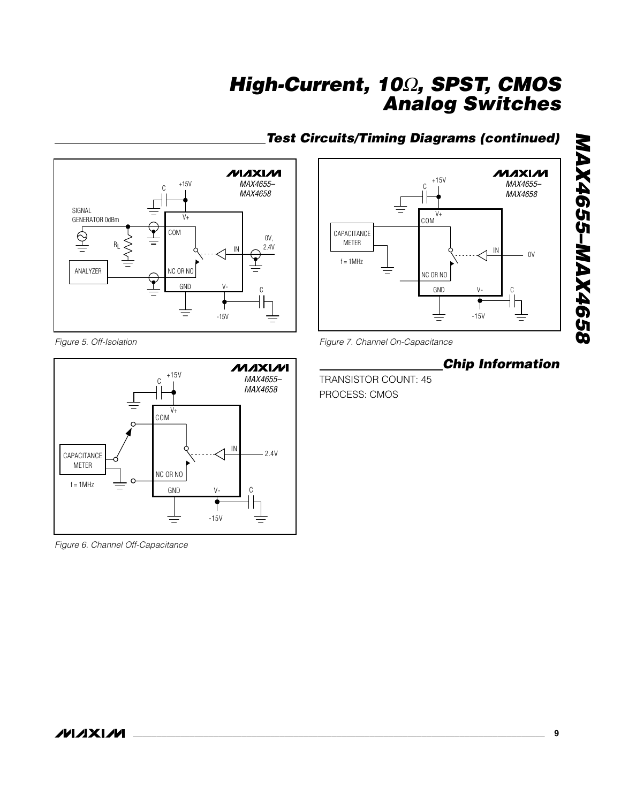

*Figure 5. Off-Isolation*



*Figure 6. Channel Off-Capacitance*



### *Test Circuits/Timing Diagrams (continued)*

*Figure 7. Channel On-Capacitance*

### *Chip Information*

*MAX4655–MAX4658*

MAX4655-MAX4658

TRANSISTOR COUNT: 45 PROCESS: CMOS



**MAXIM**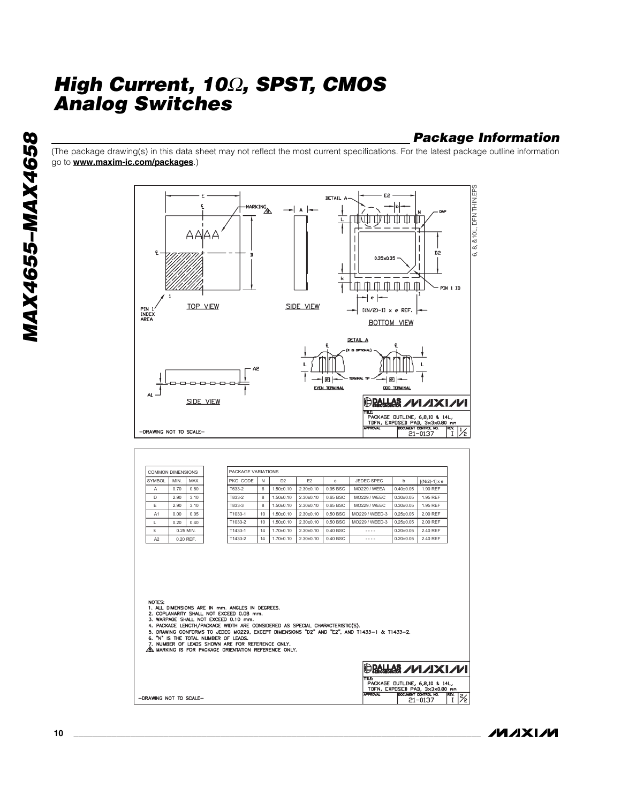### *Package Information*

(The package drawing(s) in this data sheet may not reflect the most current specifications. For the latest package outline information go to **www.maxim-ic.com/packages**.)



/VI /I X I /VI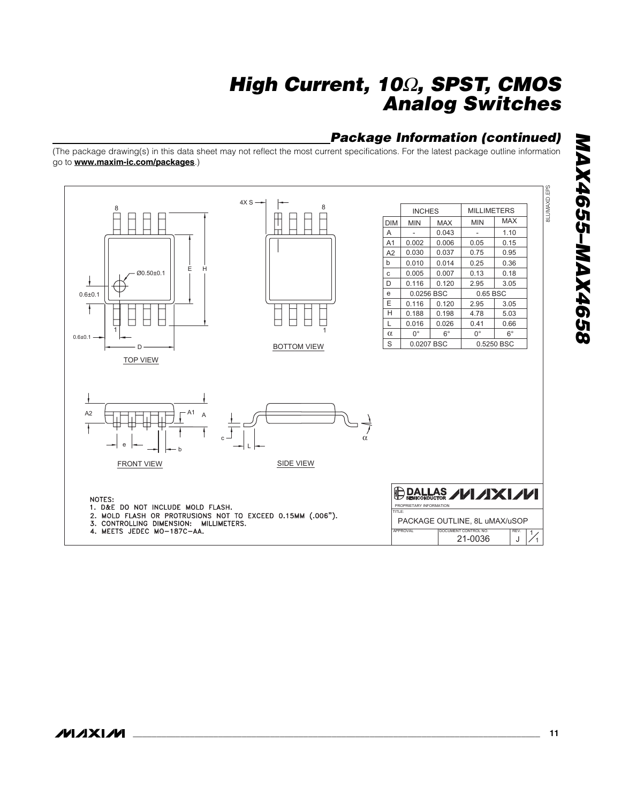### *Package Information (continued)*

(The package drawing(s) in this data sheet may not reflect the most current specifications. For the latest package outline information go to **www.maxim-ic.com/packages**.)